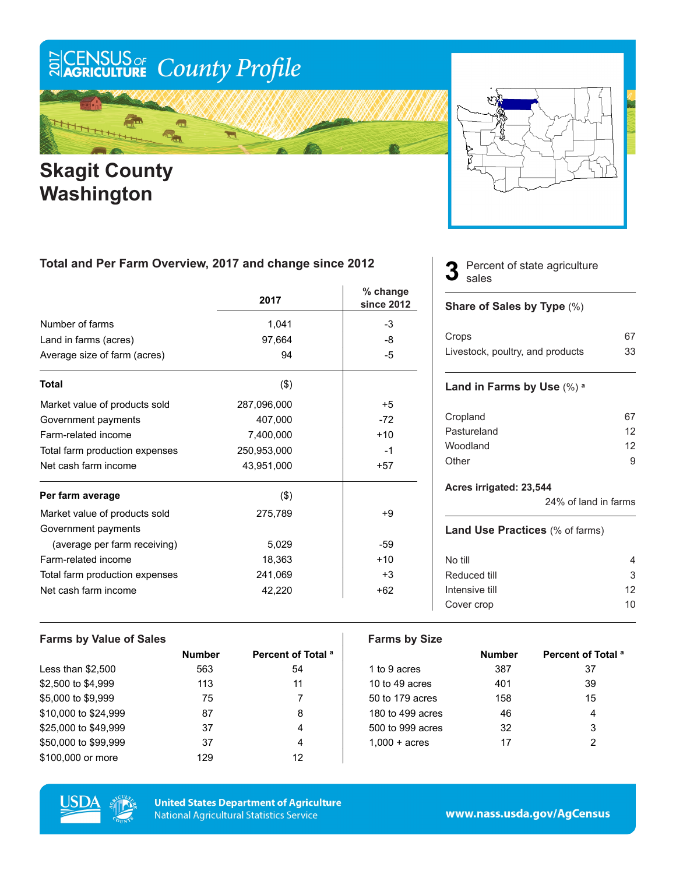# ECENSUS OF County Profile

### m  $\frac{1}{2}$

### **Skagit County Washington**



#### **Total and Per Farm Overview, 2017 and change since 2012**

|                                | 2017        | % change<br>since 2012 |
|--------------------------------|-------------|------------------------|
| Number of farms                | 1,041       | -3                     |
| Land in farms (acres)          | 97,664      | -8                     |
| Average size of farm (acres)   | 94          | -5                     |
| <b>Total</b>                   | (3)         |                        |
| Market value of products sold  | 287,096,000 | $+5$                   |
| Government payments            | 407,000     | $-72$                  |
| Farm-related income            | 7,400,000   | $+10$                  |
| Total farm production expenses | 250,953,000 | $-1$                   |
| Net cash farm income           | 43,951,000  | $+57$                  |
| Per farm average               | $($ \$)     |                        |
| Market value of products sold  | 275,789     | +9                     |
| Government payments            |             |                        |
| (average per farm receiving)   | 5,029       | -59                    |
| Farm-related income            | 18,363      | $+10$                  |
| Total farm production expenses | 241,069     | $+3$                   |
| Net cash farm income           | 42,220      | $+62$                  |

#### Percent of state agriculture sales **3**

#### **Share of Sales by Type** (%)

| Crops                            | 67 |
|----------------------------------|----|
| Livestock, poultry, and products | 33 |

#### **Land in Farms by Use** (%) **<sup>a</sup>**

| 12 |
|----|
| 12 |
| q  |
|    |

#### **Acres irrigated: 23,544**

24% of land in farms

#### **Land Use Practices** (% of farms)

| No till        | 4  |
|----------------|----|
| Reduced till   | 3  |
| Intensive till | 12 |
| Cover crop     | 10 |
|                |    |

| <b>Farms by Value of Sales</b> |               |                               | <b>Farms by Size</b>   |               |                               |
|--------------------------------|---------------|-------------------------------|------------------------|---------------|-------------------------------|
|                                | <b>Number</b> | Percent of Total <sup>a</sup> |                        | <b>Number</b> | Percent of Total <sup>a</sup> |
| Less than $$2,500$             | 563           | 54                            | 1 to 9 acres           | 387           | 37                            |
| \$2,500 to \$4,999             | 113           | 11                            | 10 to 49 acres         | 401           | 39                            |
| \$5,000 to \$9,999             | 75            |                               | 50 to 179 acres        | 158           | 15                            |
| \$10,000 to \$24,999           | 87            | 8                             | 180 to 499 acres       | 46            | 4                             |
| \$25,000 to \$49,999           | 37            | 4                             | 500 to 999 acres       | 32            | 3                             |
| \$50,000 to \$99,999           | 37            | 4                             | $1,000 + \text{acres}$ | 17            | 2                             |
| \$100,000 or more              | 129           | 12                            |                        |               |                               |



**United States Department of Agriculture National Agricultural Statistics Service**